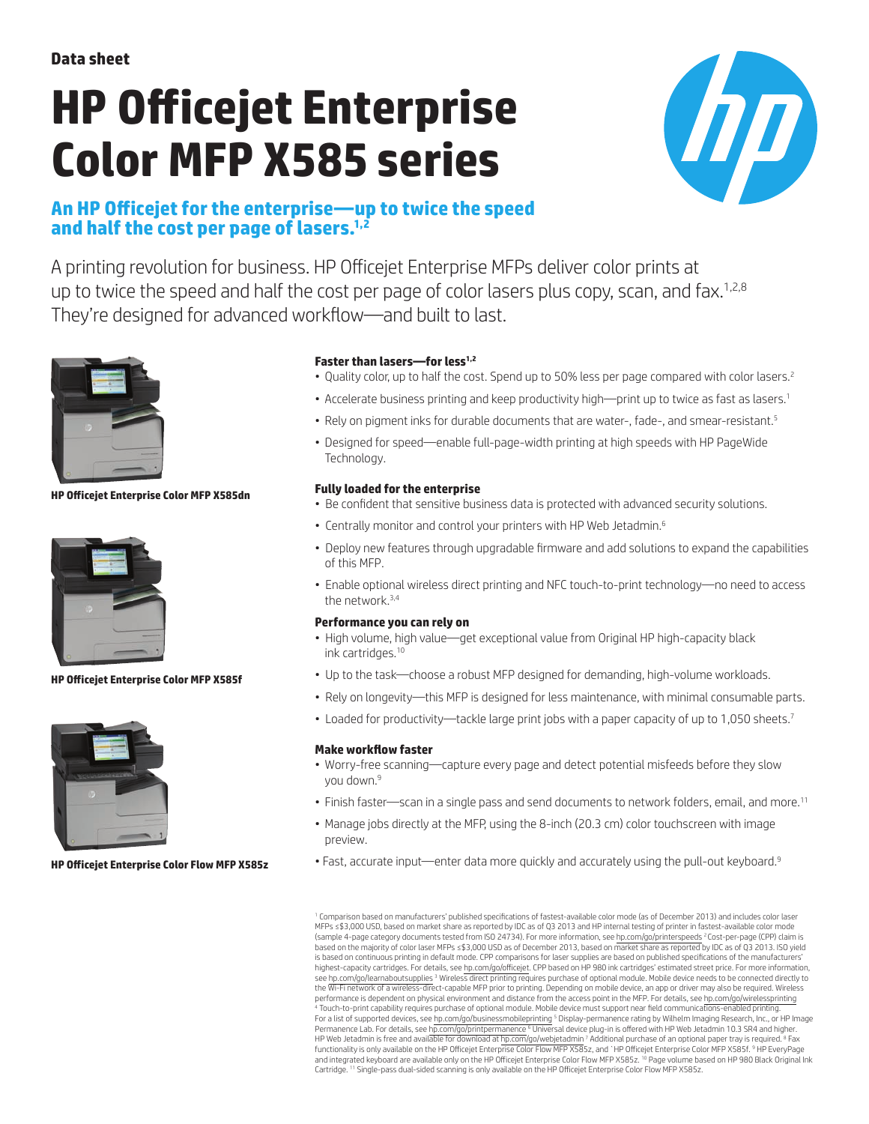# **HP Officejet Enterprise Color MFP X585 series**



# **An HP Officejet for the enterprise—up to twice the speed and half the cost per page of lasers.1,2**

A printing revolution for business. HP Officejet Enterprise MFPs deliver color prints at up to twice the speed and half the cost per page of color lasers plus copy, scan, and fax.<sup>1,2,8</sup> They're designed for advanced workflow—and built to last.



**HP Officejet Enterprise Color MFP X585dn** 



### **HP Officejet Enterprise Color MFP X585f**



**HP Officejet Enterprise Color Flow MFP X585z** 

## **Faster than lasers—for less1,2**

- Quality color, up to half the cost. Spend up to 50% less per page compared with color lasers.<sup>2</sup>
- Accelerate business printing and keep productivity high—print up to twice as fast as lasers.<sup>1</sup>
- Rely on pigment inks for durable documents that are water-, fade-, and smear-resistant.<sup>5</sup>
- Designed for speed—enable full-page-width printing at high speeds with HP PageWide Technology.

### **Fully loaded for the enterprise**

- Be confident that sensitive business data is protected with advanced security solutions.
- Centrally monitor and control your printers with HP Web Jetadmin.<sup>6</sup>
- Deploy new features through upgradable firmware and add solutions to expand the capabilities of this MFP.
- Enable optional wireless direct printing and NFC touch-to-print technology—no need to access the network.3,4

#### **Performance you can rely on**

- High volume, high value—get exceptional value from Original HP high-capacity black ink cartridges.10
- Up to the task—choose a robust MFP designed for demanding, high-volume workloads.
- Rely on longevity—this MFP is designed for less maintenance, with minimal consumable parts.
- Loaded for productivity—tackle large print jobs with a paper capacity of up to 1,050 sheets.<sup>7</sup>

#### **Make workflow faster**

- Worry-free scanning—capture every page and detect potential misfeeds before they slow you down.<sup>9</sup>
- Finish faster—scan in a single pass and send documents to network folders, email, and more.<sup>11</sup>
- Manage jobs directly at the MFP, using the 8-inch (20.3 cm) color touchscreen with image preview.
- Fast, accurate input—enter data more quickly and accurately using the pull-out keyboard.<sup>9</sup>

<sup>1</sup> Comparison based on manufacturers' published specifications of fastest-available color mode (as of December 2013) and includes color laser MFPs ≤\$3,000 USD, based on market share as reported by IDC as of Q3 2013 and HP internal testing of printer in fastest-available color mode<br>(sample 4-page category documents tested from ISO 24734). For more information, s based on the majority of color laser MFPs ≤\$3,000 USD as of December 2013, based on market share as reported by IDC as of Q3 2013. ISO yield is based on continuous printing in default mode. CPP comparisons for laser supplies are based on published specifications of the manufacturers' highest-capacity cartridges. For details, see <u>hp.com/go/officejet</u>. CPP based on HP 980 ink cartridges' estimated street price. For more information,<br>see h<u>p.com/go/learnaboutsupplies</u> <sup>3</sup> Wireless direct printing require performance is dependent on physical environment and distance from the access point in the MFP. For details, see [hp.com/go/wirelessprinting](http://hp.com/go/wirelessprinting)<br><sup>4</sup> Touch-to-print capability requires purchase of optional module. Mobile device For a list of supported devices, see [hp.com/go/businessmobileprinting](http://hp.com/go/businessmobileprinting) <sup>5</sup> Display-permanence rating by Wilhelm Imaging Research, Inc., or HP Image Permanence Lab. For details, see [hp.com/go/printpermanence](http://hp.com/go/printpermanence) <sup>s</sup> Universal device plug-in is offered with HP Web Jetadmin 10.3 SR4 and higher.<br>HP Web Jetadmin is free and available for download at [hp.com/go/webjetadmin](http://hp.com/go/webjetadmin) <sup>7</sup> A and integrated keyboard are available only on the HP Officejet Enterprise Color Flow MFP X585z. <sup>10</sup> Page volume based on HP 980 Black Original Ink Cartridge. <sup>11</sup> Single-pass dual-sided scanning is only available on the HP Officejet Enterprise Color Flow MFP X585z.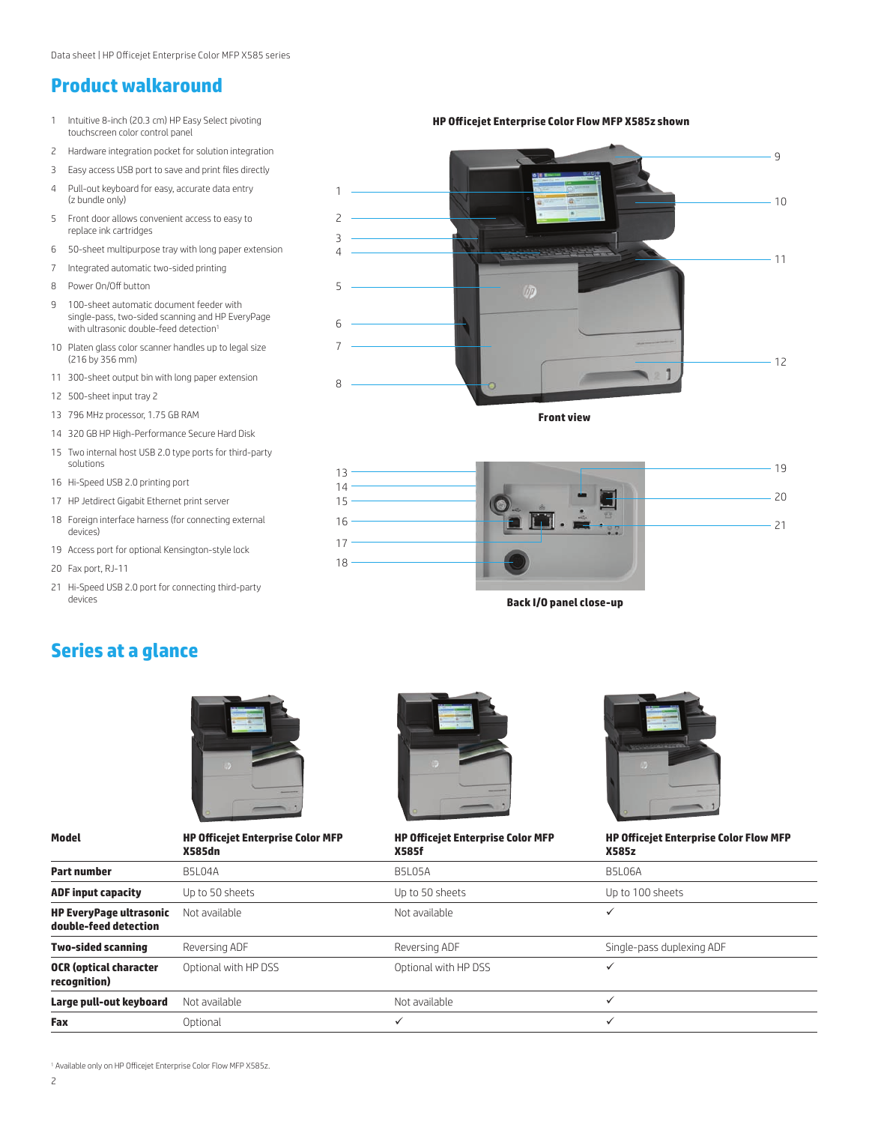## **Product walkaround**

- 1 Intuitive 8-inch (20.3 cm) HP Easy Select pivoting touchscreen color control panel
- 2 Hardware integration pocket for solution integration
- 3 Easy access USB port to save and print files directly
- 4 Pull-out keyboard for easy, accurate data entry (z bundle only)
- 5 Front door allows convenient access to easy to replace ink cartridges
- 6 50-sheet multipurpose tray with long paper extension
- 7 Integrated automatic two-sided printing
- 8 Power On/Off button
- 9 100-sheet automatic document feeder with single-pass, two-sided scanning and HP EveryPage with ultrasonic double-feed detection<sup>1</sup>
- 10 Platen glass color scanner handles up to legal size (216 by 356 mm)
- 11 300-sheet output bin with long paper extension
- 12 500-sheet input tray 2
- 13 796 MHz processor, 1.75 GB RAM
- 14 320 GB HP High-Performance Secure Hard Disk
- 15 Two internal host USB 2.0 type ports for third-party solutions
- 16 Hi-Speed USB 2.0 printing port
- 17 HP Jetdirect Gigabit Ethernet print server
- 18 Foreign interface harness (for connecting external devices)
- 19 Access port for optional Kensington-style lock
- 20 Fax port, RJ-11
- 21 Hi-Speed USB 2.0 port for connecting third-party devices

1 9  $10$  $-11$  $-12$ 2 3 4 5 6 7 8

**HP Officejet Enterprise Color Flow MFP X585z shown**



**Front view**

**Back I/O panel close-up**

# **Series at a glance**



**Model HP Officejet Enterprise Color MFP** 



#### **HP Officejet Enterprise Color MFP**



**HP Officejet Enterprise Color Flow MFP** 

|                                                         | <b>X585dn</b>        | <b>X585f</b>         | <b>X585z</b>              |  |
|---------------------------------------------------------|----------------------|----------------------|---------------------------|--|
| Part number                                             | <b>B5L04A</b>        | B5L05A               | <b>B5L06A</b>             |  |
| <b>ADF input capacity</b>                               | Up to 50 sheets      | Up to 50 sheets      | Up to 100 sheets          |  |
| <b>HP EveryPage ultrasonic</b><br>double-feed detection | Not available        | Not available        |                           |  |
| <b>Two-sided scanning</b>                               | Reversing ADF        | Reversing ADF        | Single-pass duplexing ADF |  |
| <b>OCR (optical character</b><br>recognition)           | Optional with HP DSS | Optional with HP DSS |                           |  |
| Large pull-out keyboard                                 | Not available        | Not available        | ✓                         |  |
| Fax                                                     | Optional             |                      | ✓                         |  |

<sup>1</sup> Available only on HP Officejet Enterprise Color Flow MFP X585z.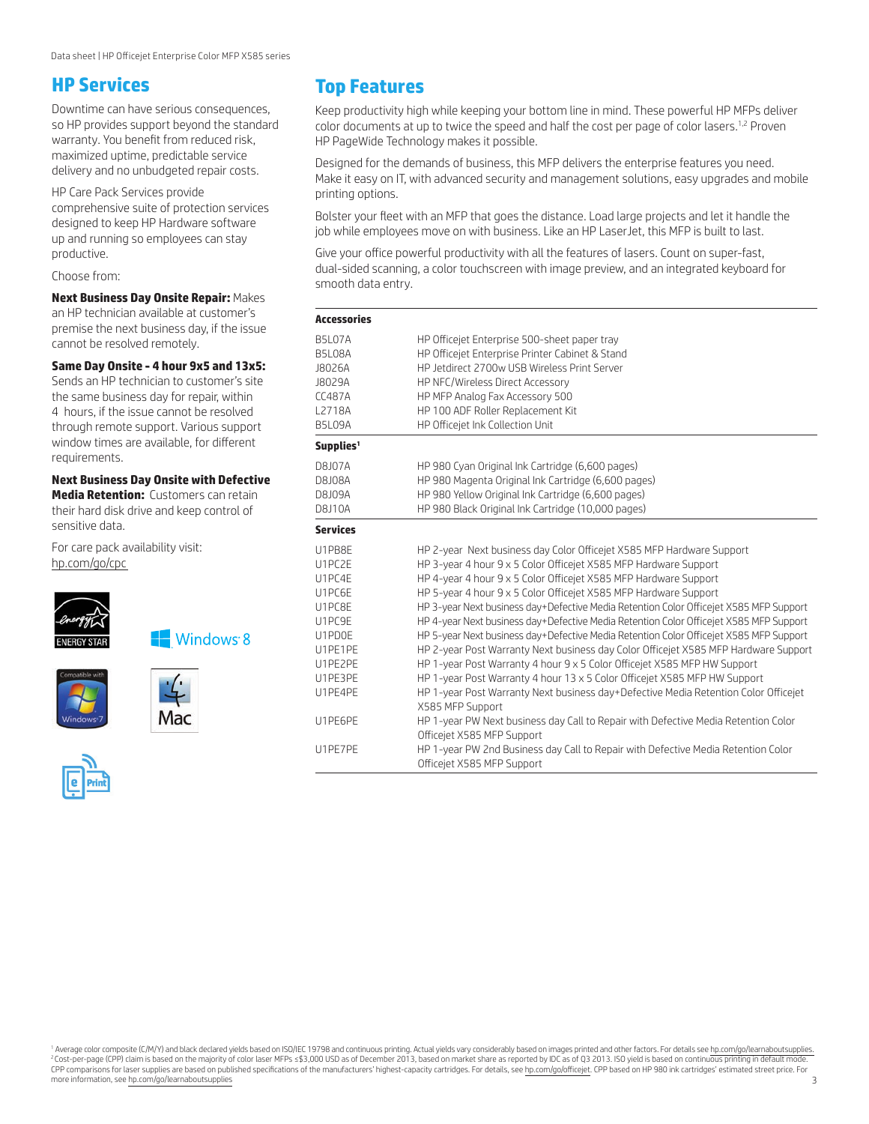# **HP Services**

Downtime can have serious consequences, so HP provides support beyond the standard warranty. You benefit from reduced risk, maximized uptime, predictable service delivery and no unbudgeted repair costs.

HP Care Pack Services provide comprehensive suite of protection services designed to keep HP Hardware software up and running so employees can stay productive.

Choose from:

**Next Business Day Onsite Repair:** Makes an HP technician available at customer's premise the next business day, if the issue cannot be resolved remotely.

## **Same Day Onsite - 4 hour 9x5 and 13x5:**

Sends an HP technician to customer's site the same business day for repair, within 4 hours, if the issue cannot be resolved through remote support. Various support window times are available, for different requirements.

#### **Next Business Day Onsite with Defective Media Retention: Customers can retain**

their hard disk drive and keep control of sensitive data.

For care pack availability visit: [hp.com/go/cpc](http://h20559.www2.hp.com/portal/site/cpc?ac.admitted=1399563774152.2043657423.175170253)



**Windows 8** 





# **Top Features**

Keep productivity high while keeping your bottom line in mind. These powerful HP MFPs deliver color documents at up to twice the speed and half the cost per page of color lasers.<sup>1,2</sup> Proven HP PageWide Technology makes it possible.

Designed for the demands of business, this MFP delivers the enterprise features you need. Make it easy on IT, with advanced security and management solutions, easy upgrades and mobile printing options.

Bolster your fleet with an MFP that goes the distance. Load large projects and let it handle the job while employees move on with business. Like an HP LaserJet, this MFP is built to last.

Give your office powerful productivity with all the features of lasers. Count on super-fast, dual-sided scanning, a color touchscreen with image preview, and an integrated keyboard for smooth data entry.

| <b>Accessories</b>    |                                                                                                                 |  |  |  |
|-----------------------|-----------------------------------------------------------------------------------------------------------------|--|--|--|
| <b>B5L07A</b>         | HP Officejet Enterprise 500-sheet paper tray                                                                    |  |  |  |
| B5L08A                | HP Officejet Enterprise Printer Cabinet & Stand                                                                 |  |  |  |
| J8026A                | HP Jetdirect 2700w USB Wireless Print Server                                                                    |  |  |  |
| J8029A                | HP NFC/Wireless Direct Accessory                                                                                |  |  |  |
| <b>CC487A</b>         | HP MFP Analog Fax Accessory 500                                                                                 |  |  |  |
| L2718A                | HP 100 ADF Roller Replacement Kit                                                                               |  |  |  |
| <b>B5L09A</b>         | HP Officejet Ink Collection Unit                                                                                |  |  |  |
| Supplies <sup>1</sup> |                                                                                                                 |  |  |  |
| <b>D8J07A</b>         | HP 980 Cyan Original Ink Cartridge (6,600 pages)                                                                |  |  |  |
| D8108A                | HP 980 Magenta Original Ink Cartridge (6,600 pages)                                                             |  |  |  |
| <b>D8J09A</b>         | HP 980 Yellow Original Ink Cartridge (6,600 pages)                                                              |  |  |  |
| <b>D8J10A</b>         | HP 980 Black Original Ink Cartridge (10,000 pages)                                                              |  |  |  |
| <b>Services</b>       |                                                                                                                 |  |  |  |
| U1PB8F                | HP 2-year Next business day Color Officejet X585 MFP Hardware Support                                           |  |  |  |
| U1PC2F                | HP 3-year 4 hour 9 x 5 Color Officejet X585 MFP Hardware Support                                                |  |  |  |
| U1PC4E                | HP 4-year 4 hour 9 x 5 Color Officejet X585 MFP Hardware Support                                                |  |  |  |
| U1PC6F                | HP 5-year 4 hour 9 x 5 Color Officejet X585 MFP Hardware Support                                                |  |  |  |
| U1PC8F                | HP 3-year Next business day+Defective Media Retention Color Officejet X585 MFP Support                          |  |  |  |
| U1PC9E                | HP 4-year Next business day+Defective Media Retention Color Officejet X585 MFP Support                          |  |  |  |
| U1PD0F                | HP 5-year Next business day+Defective Media Retention Color Officejet X585 MFP Support                          |  |  |  |
| U1PF1PF               | HP 2-year Post Warranty Next business day Color Officejet X585 MFP Hardware Support                             |  |  |  |
| U1PE2PE               | HP 1-year Post Warranty 4 hour 9 x 5 Color Officejet X585 MFP HW Support                                        |  |  |  |
| U1PF3PF               | HP 1-year Post Warranty 4 hour 13 x 5 Color Officejet X585 MFP HW Support                                       |  |  |  |
| U1PF4PF               | HP 1-year Post Warranty Next business day+Defective Media Retention Color Officejet<br>X585 MFP Support         |  |  |  |
| U1PE6PE               | HP 1-year PW Next business day Call to Repair with Defective Media Retention Color                              |  |  |  |
|                       | Officejet X585 MFP Support                                                                                      |  |  |  |
| U1PE7PE               | HP 1-year PW 2nd Business day Call to Repair with Defective Media Retention Color<br>Officejet X585 MFP Support |  |  |  |

Average color composite (C/M/Y) and black declared yields based on ISO/IEC 19798 and continuous printing. Actual yields vary considerably based on images printed and other factors. For details see hp.com/go/learnaboutsuppl <sup>2</sup>Cost-per-page (CPP) claim is based on the majority of color laser MFPs ≤\$3,000 USD as of December 2013, based on market share as reported by IDC as of Q3 2013. ISO yield is based on continuous printing in default mode. CPP comparisons for laser supplies are based on published specifications of the manufacturers' highest-capacity cartridges. For details, see [hp.com/go/officejet](http://hp.com/go/officejet). CPP based on HP 980 ink cartridges' estimated street price. more information, see [hp.com/go/learnaboutsupplies](http://hp.com/go/learnaboutsupplies)